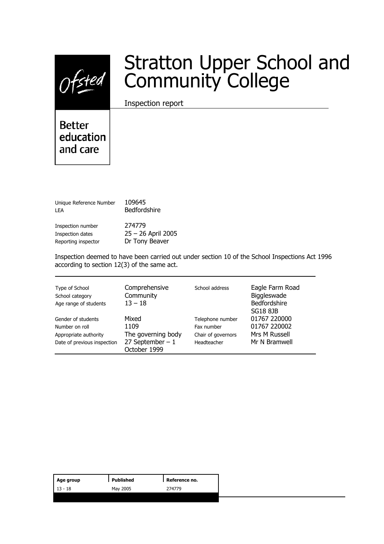

# Stratton Upper School and Community College

Inspection report

**Better** education and care

| Unique Reference Number<br>I FA | 109645<br>Bedfordshire |
|---------------------------------|------------------------|
| Inspection number               | 274779                 |
| Inspection dates                | $25 - 26$ April 2005   |
| Reporting inspector             | Dr Tony Beaver         |

Inspection deemed to have been carried out under section 10 of the School Inspections Act 1996 according to section 12(3) of the same act.

| Type of School<br>School category<br>Age range of students | Comprehensive<br>Community<br>$13 - 18$ | School address     | Eagle Farm Road<br>Biggleswade<br>Bedfordshire<br><b>SG18 8JB</b> |
|------------------------------------------------------------|-----------------------------------------|--------------------|-------------------------------------------------------------------|
| Gender of students                                         | Mixed                                   | Telephone number   | 01767 220000                                                      |
| Number on roll                                             | 1109                                    | Fax number         | 01767 220002                                                      |
| Appropriate authority                                      | The governing body                      | Chair of governors | Mrs M Russell                                                     |
| Date of previous inspection                                | 27 September $-1$<br>October 1999       | Headteacher        | Mr N Bramwell                                                     |

| Age group | Published | Reference no. |
|-----------|-----------|---------------|
| $13 - 18$ | May 2005  | 274779        |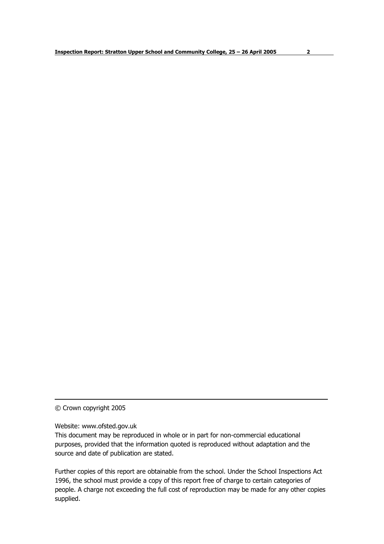© Crown copyright 2005

Website: www.ofsted.gov.uk

This document may be reproduced in whole or in part for non-commercial educational purposes, provided that the information quoted is reproduced without adaptation and the source and date of publication are stated.

Further copies of this report are obtainable from the school. Under the School Inspections Act 1996, the school must provide a copy of this report free of charge to certain categories of people. A charge not exceeding the full cost of reproduction may be made for any other copies supplied.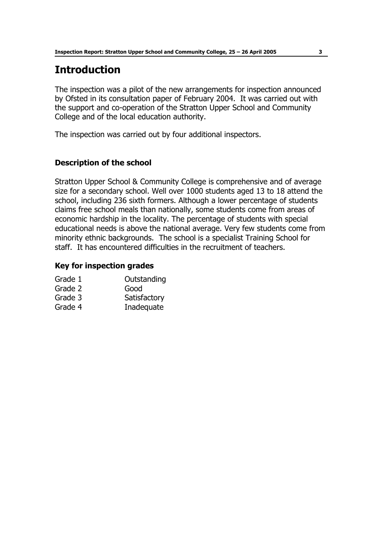# **Introduction**

The inspection was a pilot of the new arrangements for inspection announced by Ofsted in its consultation paper of February 2004. It was carried out with the support and co-operation of the Stratton Upper School and Community College and of the local education authority.

The inspection was carried out by four additional inspectors.

## **Description of the school**

Stratton Upper School & Community College is comprehensive and of average size for a secondary school. Well over 1000 students aged 13 to 18 attend the school, including 236 sixth formers. Although a lower percentage of students claims free school meals than nationally, some students come from areas of economic hardship in the locality. The percentage of students with special educational needs is above the national average. Very few students come from minority ethnic backgrounds. The school is a specialist Training School for staff. It has encountered difficulties in the recruitment of teachers.

#### **Key for inspection grades**

| Grade 1 | Outstanding  |
|---------|--------------|
| Grade 2 | Good         |
| Grade 3 | Satisfactory |
| Grade 4 | Inadequate   |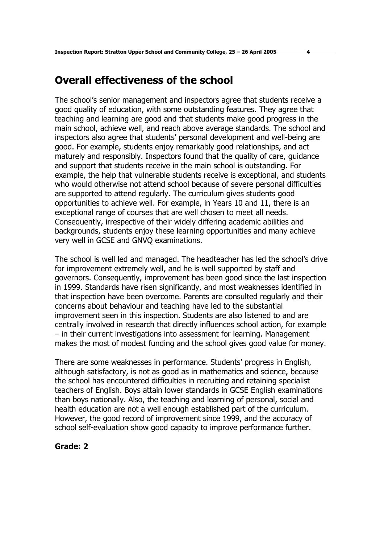# **Overall effectiveness of the school**

The schoolís senior management and inspectors agree that students receive a good quality of education, with some outstanding features. They agree that teaching and learning are good and that students make good progress in the main school, achieve well, and reach above average standards. The school and inspectors also agree that students' personal development and well-being are good. For example, students enjoy remarkably good relationships, and act maturely and responsibly. Inspectors found that the quality of care, guidance and support that students receive in the main school is outstanding. For example, the help that vulnerable students receive is exceptional, and students who would otherwise not attend school because of severe personal difficulties are supported to attend regularly. The curriculum gives students good opportunities to achieve well. For example, in Years 10 and 11, there is an exceptional range of courses that are well chosen to meet all needs. Consequently, irrespective of their widely differing academic abilities and backgrounds, students enjoy these learning opportunities and many achieve very well in GCSE and GNVQ examinations.

The school is well led and managed. The headteacher has led the schoolís drive for improvement extremely well, and he is well supported by staff and governors. Consequently, improvement has been good since the last inspection in 1999. Standards have risen significantly, and most weaknesses identified in that inspection have been overcome. Parents are consulted regularly and their concerns about behaviour and teaching have led to the substantial improvement seen in this inspection. Students are also listened to and are centrally involved in research that directly influences school action, for example  $-$  in their current investigations into assessment for learning. Management makes the most of modest funding and the school gives good value for money.

There are some weaknesses in performance. Students' progress in English, although satisfactory, is not as good as in mathematics and science, because the school has encountered difficulties in recruiting and retaining specialist teachers of English. Boys attain lower standards in GCSE English examinations than boys nationally. Also, the teaching and learning of personal, social and health education are not a well enough established part of the curriculum. However, the good record of improvement since 1999, and the accuracy of school self-evaluation show good capacity to improve performance further.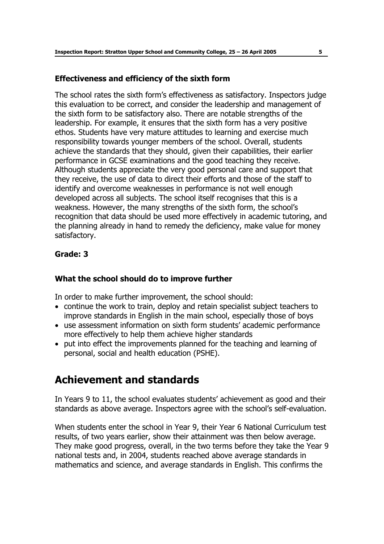#### **Effectiveness and efficiency of the sixth form**

The school rates the sixth formís effectiveness as satisfactory. Inspectors judge this evaluation to be correct, and consider the leadership and management of the sixth form to be satisfactory also. There are notable strengths of the leadership. For example, it ensures that the sixth form has a very positive ethos. Students have very mature attitudes to learning and exercise much responsibility towards younger members of the school. Overall, students achieve the standards that they should, given their capabilities, their earlier performance in GCSE examinations and the good teaching they receive. Although students appreciate the very good personal care and support that they receive, the use of data to direct their efforts and those of the staff to identify and overcome weaknesses in performance is not well enough developed across all subjects. The school itself recognises that this is a weakness. However, the many strengths of the sixth form, the school's recognition that data should be used more effectively in academic tutoring, and the planning already in hand to remedy the deficiency, make value for money satisfactory.

# **Grade: 3**

## **What the school should do to improve further**

In order to make further improvement, the school should:

- continue the work to train, deploy and retain specialist subject teachers to improve standards in English in the main school, especially those of boys
- use assessment information on sixth form students' academic performance more effectively to help them achieve higher standards
- put into effect the improvements planned for the teaching and learning of personal, social and health education (PSHE).

# **Achievement and standards**

In Years 9 to 11, the school evaluates students' achievement as good and their standards as above average. Inspectors agree with the school's self-evaluation.

When students enter the school in Year 9, their Year 6 National Curriculum test results, of two years earlier, show their attainment was then below average. They make good progress, overall, in the two terms before they take the Year 9 national tests and, in 2004, students reached above average standards in mathematics and science, and average standards in English. This confirms the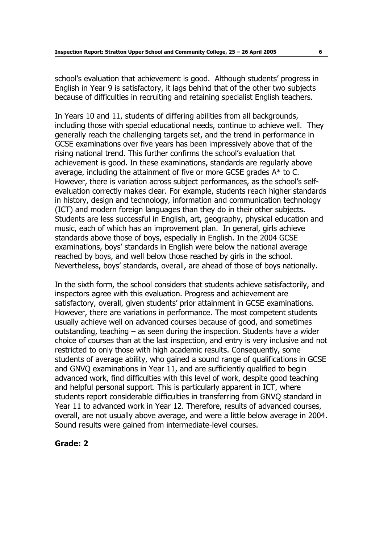school's evaluation that achievement is good. Although students' progress in English in Year 9 is satisfactory, it lags behind that of the other two subjects because of difficulties in recruiting and retaining specialist English teachers.

In Years 10 and 11, students of differing abilities from all backgrounds, including those with special educational needs, continue to achieve well. They generally reach the challenging targets set, and the trend in performance in GCSE examinations over five years has been impressively above that of the rising national trend. This further confirms the school's evaluation that achievement is good. In these examinations, standards are regularly above average, including the attainment of five or more GCSE grades A\* to C. However, there is variation across subject performances, as the school's selfevaluation correctly makes clear. For example, students reach higher standards in history, design and technology, information and communication technology (ICT) and modern foreign languages than they do in their other subjects. Students are less successful in English, art, geography, physical education and music, each of which has an improvement plan. In general, girls achieve standards above those of boys, especially in English. In the 2004 GCSE examinations, boys' standards in English were below the national average reached by boys, and well below those reached by girls in the school. Nevertheless, boys' standards, overall, are ahead of those of boys nationally.

In the sixth form, the school considers that students achieve satisfactorily, and inspectors agree with this evaluation. Progress and achievement are satisfactory, overall, given students' prior attainment in GCSE examinations. However, there are variations in performance. The most competent students usually achieve well on advanced courses because of good, and sometimes outstanding, teaching  $-$  as seen during the inspection. Students have a wider choice of courses than at the last inspection, and entry is very inclusive and not restricted to only those with high academic results. Consequently, some students of average ability, who gained a sound range of qualifications in GCSE and GNVQ examinations in Year 11, and are sufficiently qualified to begin advanced work, find difficulties with this level of work, despite good teaching and helpful personal support. This is particularly apparent in ICT, where students report considerable difficulties in transferring from GNVQ standard in Year 11 to advanced work in Year 12. Therefore, results of advanced courses, overall, are not usually above average, and were a little below average in 2004. Sound results were gained from intermediate-level courses.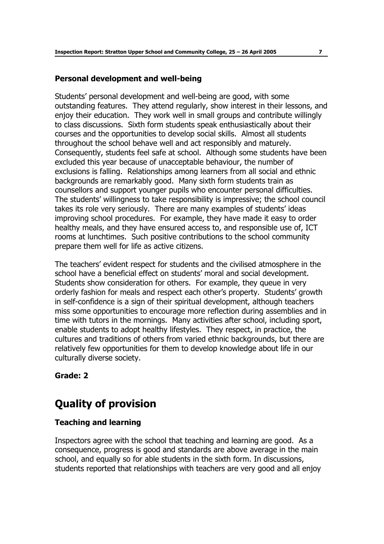#### **Personal development and well-being**

Students' personal development and well-being are good, with some outstanding features. They attend regularly, show interest in their lessons, and enjoy their education. They work well in small groups and contribute willingly to class discussions. Sixth form students speak enthusiastically about their courses and the opportunities to develop social skills. Almost all students throughout the school behave well and act responsibly and maturely. Consequently, students feel safe at school. Although some students have been excluded this year because of unacceptable behaviour, the number of exclusions is falling. Relationships among learners from all social and ethnic backgrounds are remarkably good. Many sixth form students train as counsellors and support younger pupils who encounter personal difficulties. The students' willingness to take responsibility is impressive; the school council takes its role very seriously. There are many examples of students' ideas improving school procedures. For example, they have made it easy to order healthy meals, and they have ensured access to, and responsible use of, ICT rooms at lunchtimes. Such positive contributions to the school community prepare them well for life as active citizens.

The teachers' evident respect for students and the civilised atmosphere in the school have a beneficial effect on students' moral and social development. Students show consideration for others. For example, they queue in very orderly fashion for meals and respect each other's property. Students' growth in self-confidence is a sign of their spiritual development, although teachers miss some opportunities to encourage more reflection during assemblies and in time with tutors in the mornings. Many activities after school, including sport, enable students to adopt healthy lifestyles. They respect, in practice, the cultures and traditions of others from varied ethnic backgrounds, but there are relatively few opportunities for them to develop knowledge about life in our culturally diverse society.

## **Grade: 2**

# **Quality of provision**

## **Teaching and learning**

Inspectors agree with the school that teaching and learning are good. As a consequence, progress is good and standards are above average in the main school, and equally so for able students in the sixth form. In discussions, students reported that relationships with teachers are very good and all enjoy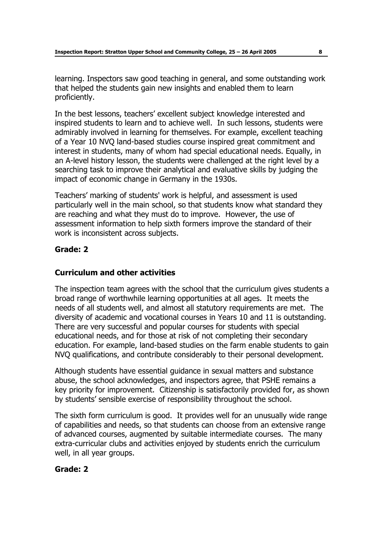learning. Inspectors saw good teaching in general, and some outstanding work that helped the students gain new insights and enabled them to learn proficiently.

In the best lessons, teachers' excellent subject knowledge interested and inspired students to learn and to achieve well. In such lessons, students were admirably involved in learning for themselves. For example, excellent teaching of a Year 10 NVQ land-based studies course inspired great commitment and interest in students, many of whom had special educational needs. Equally, in an A-level history lesson, the students were challenged at the right level by a searching task to improve their analytical and evaluative skills by judging the impact of economic change in Germany in the 1930s.

Teachersí marking of students' work is helpful, and assessment is used particularly well in the main school, so that students know what standard they are reaching and what they must do to improve. However, the use of assessment information to help sixth formers improve the standard of their work is inconsistent across subjects.

# **Grade: 2**

## **Curriculum and other activities**

The inspection team agrees with the school that the curriculum gives students a broad range of worthwhile learning opportunities at all ages. It meets the needs of all students well, and almost all statutory requirements are met. The diversity of academic and vocational courses in Years 10 and 11 is outstanding. There are very successful and popular courses for students with special educational needs, and for those at risk of not completing their secondary education. For example, land-based studies on the farm enable students to gain NVQ qualifications, and contribute considerably to their personal development.

Although students have essential guidance in sexual matters and substance abuse, the school acknowledges, and inspectors agree, that PSHE remains a key priority for improvement. Citizenship is satisfactorily provided for, as shown by students' sensible exercise of responsibility throughout the school.

The sixth form curriculum is good. It provides well for an unusually wide range of capabilities and needs, so that students can choose from an extensive range of advanced courses, augmented by suitable intermediate courses. The many extra-curricular clubs and activities enjoyed by students enrich the curriculum well, in all year groups.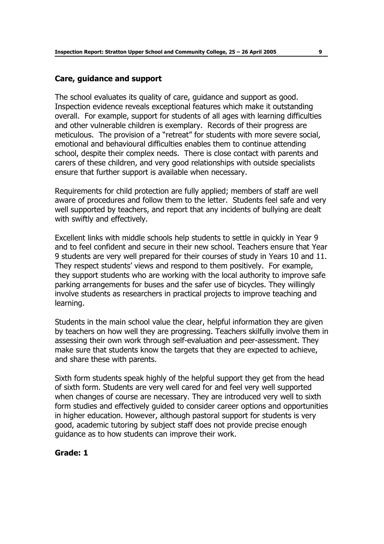#### **Care, guidance and support**

The school evaluates its quality of care, guidance and support as good. Inspection evidence reveals exceptional features which make it outstanding overall. For example, support for students of all ages with learning difficulties and other vulnerable children is exemplary. Records of their progress are meticulous. The provision of a "retreat" for students with more severe social, emotional and behavioural difficulties enables them to continue attending school, despite their complex needs. There is close contact with parents and carers of these children, and very good relationships with outside specialists ensure that further support is available when necessary.

Requirements for child protection are fully applied; members of staff are well aware of procedures and follow them to the letter. Students feel safe and very well supported by teachers, and report that any incidents of bullying are dealt with swiftly and effectively.

Excellent links with middle schools help students to settle in quickly in Year 9 and to feel confident and secure in their new school. Teachers ensure that Year 9 students are very well prepared for their courses of study in Years 10 and 11. They respect students' views and respond to them positively. For example, they support students who are working with the local authority to improve safe parking arrangements for buses and the safer use of bicycles. They willingly involve students as researchers in practical projects to improve teaching and learning.

Students in the main school value the clear, helpful information they are given by teachers on how well they are progressing. Teachers skilfully involve them in assessing their own work through self-evaluation and peer-assessment. They make sure that students know the targets that they are expected to achieve, and share these with parents.

Sixth form students speak highly of the helpful support they get from the head of sixth form. Students are very well cared for and feel very well supported when changes of course are necessary. They are introduced very well to sixth form studies and effectively guided to consider career options and opportunities in higher education. However, although pastoral support for students is very good, academic tutoring by subject staff does not provide precise enough guidance as to how students can improve their work.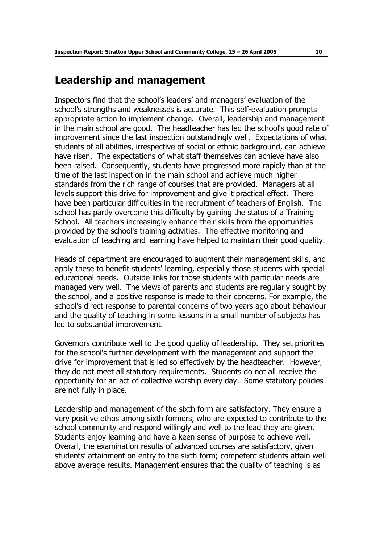# **Leadership and management**

Inspectors find that the schoolís leadersí and managersí evaluation of the school's strengths and weaknesses is accurate. This self-evaluation prompts appropriate action to implement change. Overall, leadership and management in the main school are good. The headteacher has led the school's good rate of improvement since the last inspection outstandingly well. Expectations of what students of all abilities, irrespective of social or ethnic background, can achieve have risen. The expectations of what staff themselves can achieve have also been raised. Consequently, students have progressed more rapidly than at the time of the last inspection in the main school and achieve much higher standards from the rich range of courses that are provided. Managers at all levels support this drive for improvement and give it practical effect. There have been particular difficulties in the recruitment of teachers of English. The school has partly overcome this difficulty by gaining the status of a Training School. All teachers increasingly enhance their skills from the opportunities provided by the school's training activities. The effective monitoring and evaluation of teaching and learning have helped to maintain their good quality.

Heads of department are encouraged to augment their management skills, and apply these to benefit students' learning, especially those students with special educational needs. Outside links for those students with particular needs are managed very well. The views of parents and students are regularly sought by the school, and a positive response is made to their concerns. For example, the school's direct response to parental concerns of two years ago about behaviour and the quality of teaching in some lessons in a small number of subjects has led to substantial improvement.

Governors contribute well to the good quality of leadership. They set priorities for the school's further development with the management and support the drive for improvement that is led so effectively by the headteacher. However, they do not meet all statutory requirements. Students do not all receive the opportunity for an act of collective worship every day. Some statutory policies are not fully in place.

Leadership and management of the sixth form are satisfactory. They ensure a very positive ethos among sixth formers, who are expected to contribute to the school community and respond willingly and well to the lead they are given. Students enjoy learning and have a keen sense of purpose to achieve well. Overall, the examination results of advanced courses are satisfactory, given students' attainment on entry to the sixth form; competent students attain well above average results. Management ensures that the quality of teaching is as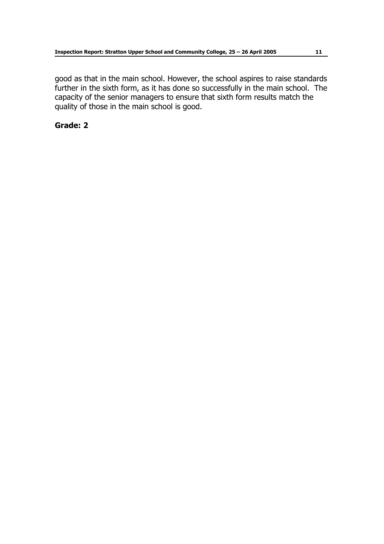good as that in the main school. However, the school aspires to raise standards further in the sixth form, as it has done so successfully in the main school. The capacity of the senior managers to ensure that sixth form results match the quality of those in the main school is good.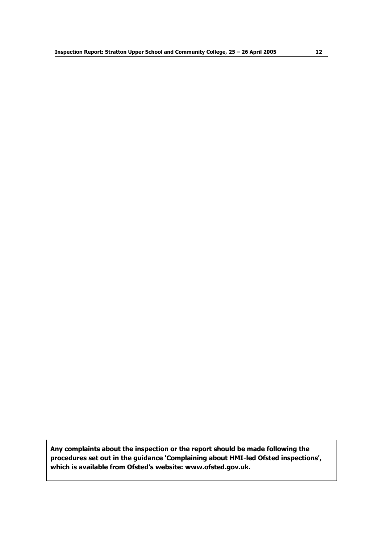**Any complaints about the inspection or the report should be made following the procedures set out in the guidance 'Complaining about HMI-led Ofsted inspections', which is available from Ofstedís website: www.ofsted.gov.uk.**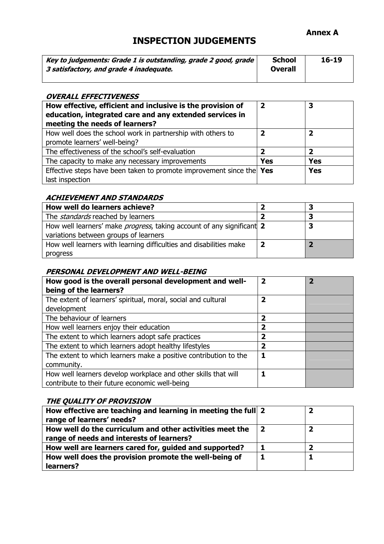#### **Annex A**

# **INSPECTION JUDGEMENTS**

| Key to judgements: Grade 1 is outstanding, grade 2 good, grade | <b>School</b> | $16 - 19$ |
|----------------------------------------------------------------|---------------|-----------|
| 3 satisfactory, and grade 4 inadequate.                        | Overall       |           |
|                                                                |               |           |

#### **OVERALL EFFECTIVENESS**

| How effective, efficient and inclusive is the provision of<br>education, integrated care and any extended services in<br>meeting the needs of learners? | $\overline{\mathbf{2}}$ | 3          |
|---------------------------------------------------------------------------------------------------------------------------------------------------------|-------------------------|------------|
| How well does the school work in partnership with others to<br>promote learners' well-being?                                                            | 2                       | 2          |
| The effectiveness of the school's self-evaluation                                                                                                       | כ                       | 2          |
| The capacity to make any necessary improvements                                                                                                         | Yes                     | <b>Yes</b> |
| Effective steps have been taken to promote improvement since the Yes                                                                                    |                         | <b>Yes</b> |
| last inspection                                                                                                                                         |                         |            |

#### **ACHIEVEMENT AND STANDARDS**

| How well do learners achieve?                                                 |   |
|-------------------------------------------------------------------------------|---|
| The <i>standards</i> reached by learners                                      | в |
| How well learners' make <i>progress</i> , taking account of any significant 2 | З |
| variations between groups of learners                                         |   |
| How well learners with learning difficulties and disabilities make            |   |
| progress                                                                      |   |

#### **PERSONAL DEVELOPMENT AND WELL-BEING**

| How good is the overall personal development and well-<br>being of the learners? | $\overline{2}$ | $\overline{\mathbf{2}}$ |
|----------------------------------------------------------------------------------|----------------|-------------------------|
| The extent of learners' spiritual, moral, social and cultural                    | 2              |                         |
| development                                                                      |                |                         |
| The behaviour of learners                                                        | 2              |                         |
| How well learners enjoy their education                                          | 2              |                         |
| The extent to which learners adopt safe practices                                | 2              |                         |
| The extent to which learners adopt healthy lifestyles                            | 2              |                         |
| The extent to which learners make a positive contribution to the                 |                |                         |
| community.                                                                       |                |                         |
| How well learners develop workplace and other skills that will                   |                |                         |
| contribute to their future economic well-being                                   |                |                         |

#### **THE QUALITY OF PROVISION**

| How effective are teaching and learning in meeting the full 2 | 2 |
|---------------------------------------------------------------|---|
| range of learners' needs?                                     |   |
| How well do the curriculum and other activities meet the      |   |
| range of needs and interests of learners?                     |   |
| How well are learners cared for, guided and supported?        |   |
| How well does the provision promote the well-being of         |   |
| learners?                                                     |   |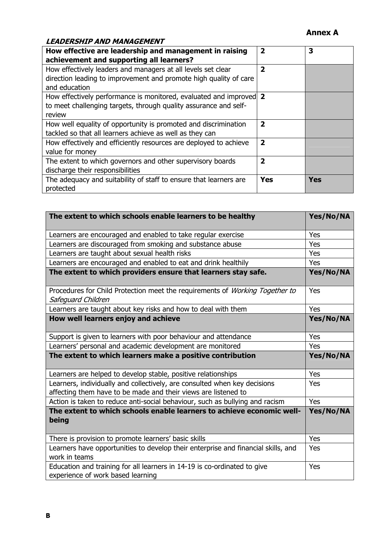## **Annex A**

#### **LEADERSHIP AND MANAGEMENT**

| How effective are leadership and management in raising<br>achievement and supporting all learners?                                                 | $\overline{\mathbf{2}}$ | 3   |
|----------------------------------------------------------------------------------------------------------------------------------------------------|-------------------------|-----|
| How effectively leaders and managers at all levels set clear<br>direction leading to improvement and promote high quality of care<br>and education | $\overline{\mathbf{2}}$ |     |
| How effectively performance is monitored, evaluated and improved 2<br>to meet challenging targets, through quality assurance and self-<br>review   |                         |     |
| How well equality of opportunity is promoted and discrimination<br>tackled so that all learners achieve as well as they can                        | $\overline{\mathbf{2}}$ |     |
| How effectively and efficiently resources are deployed to achieve<br>value for money                                                               | $\overline{2}$          |     |
| The extent to which governors and other supervisory boards<br>discharge their responsibilities                                                     | $\overline{\mathbf{2}}$ |     |
| The adequacy and suitability of staff to ensure that learners are<br>protected                                                                     | <b>Yes</b>              | Yes |

| The extent to which schools enable learners to be healthy                                                     | Yes/No/NA  |
|---------------------------------------------------------------------------------------------------------------|------------|
| Learners are encouraged and enabled to take regular exercise                                                  | Yes        |
| Learners are discouraged from smoking and substance abuse                                                     | Yes        |
| Learners are taught about sexual health risks                                                                 | Yes        |
| Learners are encouraged and enabled to eat and drink healthily                                                | Yes        |
| The extent to which providers ensure that learners stay safe.                                                 | Yes/No/NA  |
| Procedures for Child Protection meet the requirements of <i>Working Together to</i><br>Safeguard Children     | Yes        |
| Learners are taught about key risks and how to deal with them                                                 | Yes        |
| How well learners enjoy and achieve                                                                           | Yes/No/NA  |
| Support is given to learners with poor behaviour and attendance                                               | Yes        |
| Learners' personal and academic development are monitored                                                     | <b>Yes</b> |
| The extent to which learners make a positive contribution                                                     | Yes/No/NA  |
| Learners are helped to develop stable, positive relationships                                                 | Yes        |
| Learners, individually and collectively, are consulted when key decisions                                     | Yes        |
| affecting them have to be made and their views are listened to                                                |            |
| Action is taken to reduce anti-social behaviour, such as bullying and racism                                  | Yes        |
| The extent to which schools enable learners to achieve economic well-<br>being                                | Yes/No/NA  |
| There is provision to promote learners' basic skills                                                          | Yes        |
| Learners have opportunities to develop their enterprise and financial skills, and<br>work in teams            | <b>Yes</b> |
| Education and training for all learners in 14-19 is co-ordinated to give<br>experience of work based learning | Yes        |